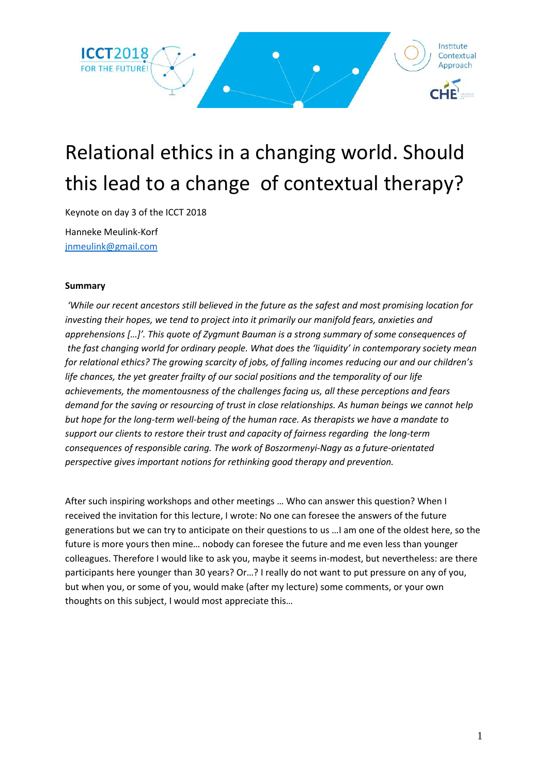

# Relational ethics in a changing world. Should this lead to a change of contextual therapy?

Keynote on day 3 of the ICCT 2018

Hanneke Meulink-Korf [jnmeulink@gmail.com](mailto:jnmeulink@gmail.com)

### **Summary**

*'While our recent ancestors still believed in the future as the safest and most promising location for investing their hopes, we tend to project into it primarily our manifold fears, anxieties and apprehensions […]'. This quote of Zygmunt Bauman is a strong summary of some consequences of the fast changing world for ordinary people. What does the 'liquidity' in contemporary society mean for relational ethics? The growing scarcity of jobs, of falling incomes reducing our and our children's life chances, the yet greater frailty of our social positions and the temporality of our life achievements, the momentousness of the challenges facing us, all these perceptions and fears demand for the saving or resourcing of trust in close relationships. As human beings we cannot help but hope for the long-term well-being of the human race. As therapists we have a mandate to support our clients to restore their trust and capacity of fairness regarding the long-term consequences of responsible caring. The work of Boszormenyi-Nagy as a future-orientated perspective gives important notions for rethinking good therapy and prevention.* 

After such inspiring workshops and other meetings … Who can answer this question? When I received the invitation for this lecture, I wrote: No one can foresee the answers of the future generations but we can try to anticipate on their questions to us …I am one of the oldest here, so the future is more yours then mine… nobody can foresee the future and me even less than younger colleagues. Therefore I would like to ask you, maybe it seems in-modest, but nevertheless: are there participants here younger than 30 years? Or…? I really do not want to put pressure on any of you, but when you, or some of you, would make (after my lecture) some comments, or your own thoughts on this subject, I would most appreciate this…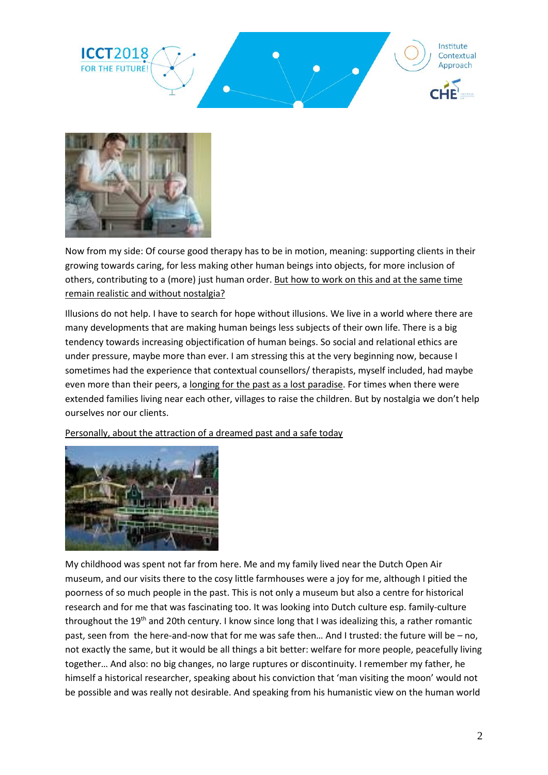



Now from my side: Of course good therapy has to be in motion, meaning: supporting clients in their growing towards caring, for less making other human beings into objects, for more inclusion of others, contributing to a (more) just human order. But how to work on this and at the same time remain realistic and without nostalgia?

Illusions do not help. I have to search for hope without illusions. We live in a world where there are many developments that are making human beings less subjects of their own life. There is a big tendency towards increasing objectification of human beings. So social and relational ethics are under pressure, maybe more than ever. I am stressing this at the very beginning now, because I sometimes had the experience that contextual counsellors/ therapists, myself included, had maybe even more than their peers, a longing for the past as a lost paradise. For times when there were extended families living near each other, villages to raise the children. But by nostalgia we don't help ourselves nor our clients.

Personally, about the attraction of a dreamed past and a safe today



My childhood was spent not far from here. Me and my family lived near the Dutch Open Air museum, and our visits there to the cosy little farmhouses were a joy for me, although I pitied the poorness of so much people in the past. This is not only a museum but also a centre for historical research and for me that was fascinating too. It was looking into Dutch culture esp. family-culture throughout the 19<sup>th</sup> and 20th century. I know since long that I was idealizing this, a rather romantic past, seen from the here-and-now that for me was safe then… And I trusted: the future will be – no, not exactly the same, but it would be all things a bit better: welfare for more people, peacefully living together… And also: no big changes, no large ruptures or discontinuity. I remember my father, he himself a historical researcher, speaking about his conviction that 'man visiting the moon' would not be possible and was really not desirable. And speaking from his humanistic view on the human world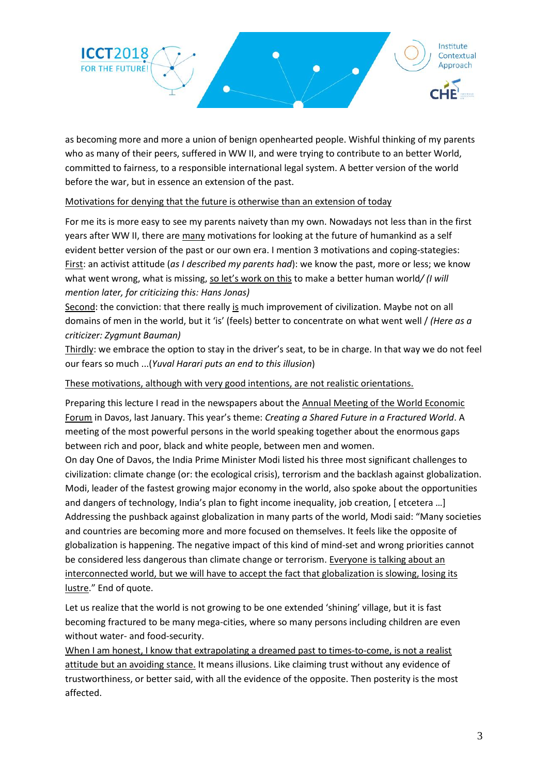

as becoming more and more a union of benign openhearted people. Wishful thinking of my parents who as many of their peers, suffered in WW II, and were trying to contribute to an better World, committed to fairness, to a responsible international legal system. A better version of the world before the war, but in essence an extension of the past.

### Motivations for denying that the future is otherwise than an extension of today

For me its is more easy to see my parents naivety than my own. Nowadays not less than in the first years after WW II, there are many motivations for looking at the future of humankind as a self evident better version of the past or our own era. I mention 3 motivations and coping-stategies: First: an activist attitude (*as I described my parents had*): we know the past, more or less; we know what went wrong, what is missing, so let's work on this to make a better human world/ (I will *mention later, for criticizing this: Hans Jonas)*

Second: the conviction: that there really is much improvement of civilization. Maybe not on all domains of men in the world, but it 'is' (feels) better to concentrate on what went well / *(Here as a criticizer: Zygmunt Bauman)*

Thirdly: we embrace the option to stay in the driver's seat, to be in charge. In that way we do not feel our fears so much ...(*Yuval Harari puts an end to this illusion*)

These motivations, although with very good intentions, are not realistic orientations.

Preparing this lecture I read in the newspapers about the Annual Meeting of the World Economic Forum in Davos, last January. This year's theme: *Creating a Shared Future in a Fractured World*. A meeting of the most powerful persons in the world speaking together about the enormous gaps between rich and poor, black and white people, between men and women.

On day One of Davos, the India Prime Minister Modi listed his three most significant challenges to civilization: climate change (or: the ecological crisis), terrorism and the backlash against globalization. Modi, leader of the fastest growing major economy in the world, also spoke about the opportunities and dangers of technology, India's plan to fight income inequality, job creation, [ etcetera …] Addressing the pushback against globalization in many parts of the world, Modi said: "Many societies and countries are becoming more and more focused on themselves. It feels like the opposite of globalization is happening. The negative impact of this kind of mind-set and wrong priorities cannot be considered less dangerous than climate change or terrorism. Everyone is talking about an interconnected world, but we will have to accept the fact that globalization is slowing, losing its lustre." End of quote.

Let us realize that the world is not growing to be one extended 'shining' village, but it is fast becoming fractured to be many mega-cities, where so many persons including children are even without water- and food-security.

When I am honest, I know that extrapolating a dreamed past to times-to-come, is not a realist attitude but an avoiding stance. It means illusions. Like claiming trust without any evidence of trustworthiness, or better said, with all the evidence of the opposite. Then posterity is the most affected.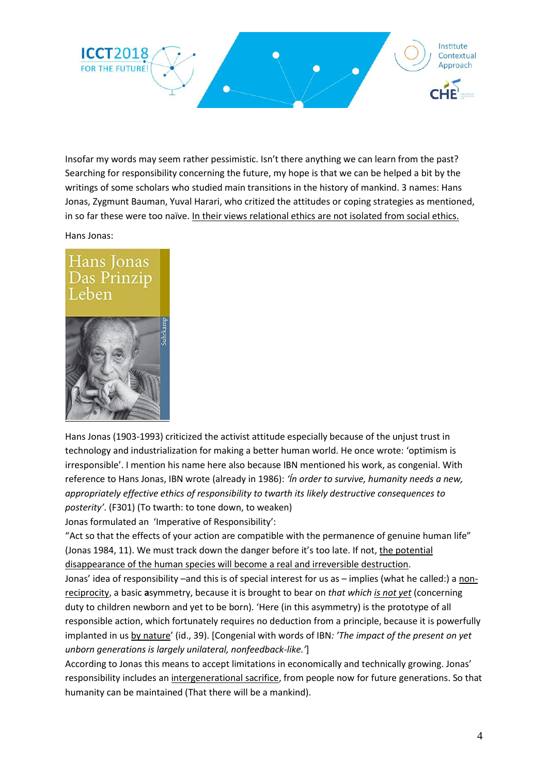

Insofar my words may seem rather pessimistic. Isn't there anything we can learn from the past? Searching for responsibility concerning the future, my hope is that we can be helped a bit by the writings of some scholars who studied main transitions in the history of mankind. 3 names: Hans Jonas, Zygmunt Bauman, Yuval Harari, who critized the attitudes or coping strategies as mentioned, in so far these were too naïve. In their views relational ethics are not isolated from social ethics.

Hans Jonas:

## Hans Jonas Das Prinzip Leben



Hans Jonas (1903-1993) criticized the activist attitude especially because of the unjust trust in technology and industrialization for making a better human world. He once wrote: 'optimism is irresponsible'. I mention his name here also because IBN mentioned his work, as congenial. With reference to Hans Jonas, IBN wrote (already in 1986): *'Ín order to survive, humanity needs a new, appropriately effective ethics of responsibility to twarth its likely destructive consequences to posterity'*. (F301) (To twarth: to tone down, to weaken)

Jonas formulated an 'Imperative of Responsibility':

"Act so that the effects of your action are compatible with the permanence of genuine human life" (Jonas 1984, 11). We must track down the danger before it's too late. If not, the potential disappearance of the human species will become a real and irreversible destruction.

Jonas' idea of responsibility –and this is of special interest for us as – implies (what he called:) a nonreciprocity, a basic **a**symmetry, because it is brought to bear on *that which is not yet* (concerning duty to children newborn and yet to be born). 'Here (in this asymmetry) is the prototype of all responsible action, which fortunately requires no deduction from a principle, because it is powerfully implanted in us by nature' (id., 39). [Congenial with words of IBN*: 'The impact of the present on yet unborn generations is largely unilateral, nonfeedback-like.'*]

According to Jonas this means to accept limitations in economically and technically growing. Jonas' responsibility includes an intergenerational sacrifice, from people now for future generations. So that humanity can be maintained (That there will be a mankind).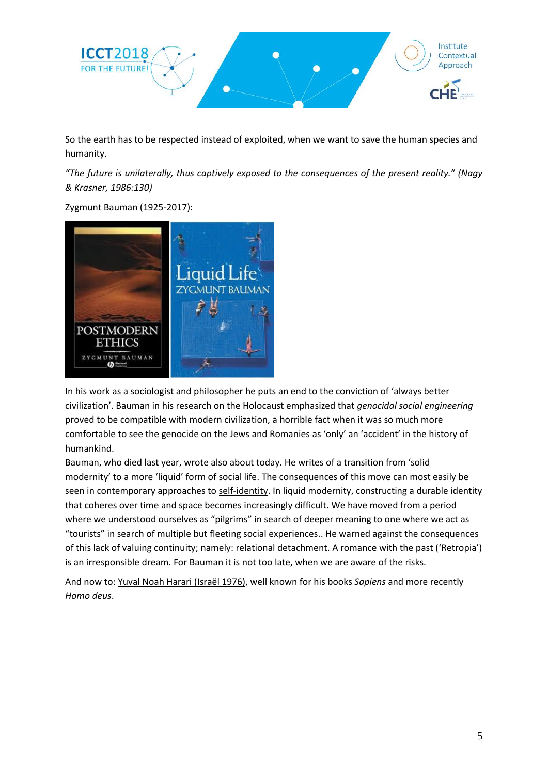

So the earth has to be respected instead of exploited, when we want to save the human species and humanity.

*"The future is unilaterally, thus captively exposed to the consequences of the present reality." (Nagy & Krasner, 1986:130)*

### Zygmunt Bauman (1925-2017):



In his work as a sociologist and philosopher he puts an end to the conviction of 'always better civilization'. Bauman in his research on the Holocaust emphasized that *genocidal social engineering* proved to be compatible with modern civilization, a horrible fact when it was so much more comfortable to see the genocide on the Jews and Romanies as 'only' an 'accident' in the history of humankind.

Bauman, who died last year, wrote also about today. He writes of a transition from 'solid modernity' to a more 'liquid' form of social life. The consequences of this move can most easily be seen in contemporary approaches to self-identity. In liquid modernity, constructing a durable identity that coheres over time and space becomes increasingly difficult. We have moved from a period where we understood ourselves as "pilgrims" in search of deeper meaning to one where we act as "tourists" in search of multiple but fleeting social experiences.. He warned against the consequences of this lack of valuing continuity; namely: relational detachment. A romance with the past ('Retropia') is an irresponsible dream. For Bauman it is not too late, when we are aware of the risks.

And now to: Yuval Noah Harari (Israël 1976), well known for his books *Sapiens* and more recently *Homo deus*.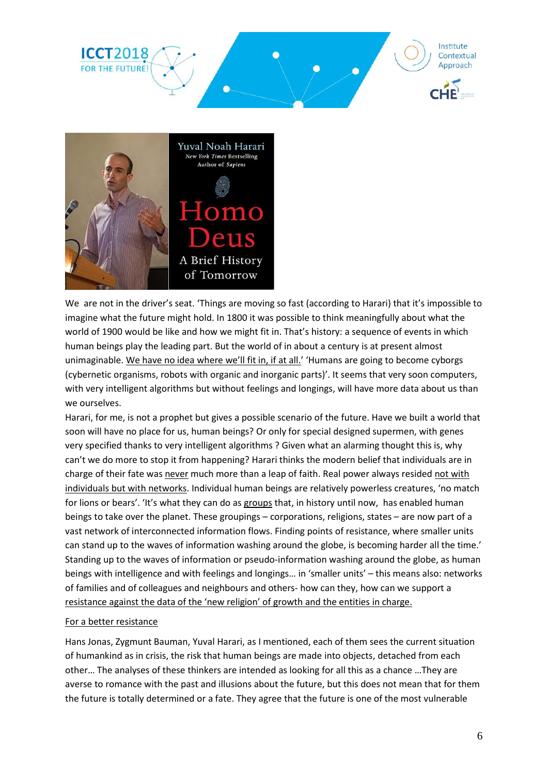



We are not in the driver's seat. 'Things are moving so fast (according to Harari) that it's impossible to imagine what the future might hold. In 1800 it was possible to think meaningfully about what the world of 1900 would be like and how we might fit in. That's history: a sequence of events in which human beings play the leading part. But the world of in about a century is at present almost unimaginable. We have no idea where we'll fit in, if at all.' 'Humans are going to become cyborgs (cybernetic organisms, robots with organic and inorganic parts)'. It seems that very soon computers, with very intelligent algorithms but without feelings and longings, will have more data about us than we ourselves.

Harari, for me, is not a prophet but gives a possible scenario of the future. Have we built a world that soon will have no place for us, human beings? Or only for special designed supermen, with genes very specified thanks to very intelligent algorithms ? Given what an alarming thought this is, why can't we do more to stop it from happening? Harari thinks the modern belief that individuals are in charge of their fate was never much more than a leap of faith. Real power always resided not with individuals but with networks. Individual human beings are relatively powerless creatures, 'no match for lions or bears'. 'It's what they can do as groups that, in history until now, has enabled human beings to take over the planet. These groupings – corporations, religions, states – are now part of a vast network of interconnected information flows. Finding points of resistance, where smaller units can stand up to the waves of information washing around the globe, is becoming harder all the time.' Standing up to the waves of information or pseudo-information washing around the globe, as human beings with intelligence and with feelings and longings… in 'smaller units' – this means also: networks of families and of colleagues and neighbours and others- how can they, how can we support a resistance against the data of the 'new religion' of growth and the entities in charge.

#### For a better resistance

Hans Jonas, Zygmunt Bauman, Yuval Harari, as I mentioned, each of them sees the current situation of humankind as in crisis, the risk that human beings are made into objects, detached from each other… The analyses of these thinkers are intended as looking for all this as a chance …They are averse to romance with the past and illusions about the future, but this does not mean that for them the future is totally determined or a fate. They agree that the future is one of the most vulnerable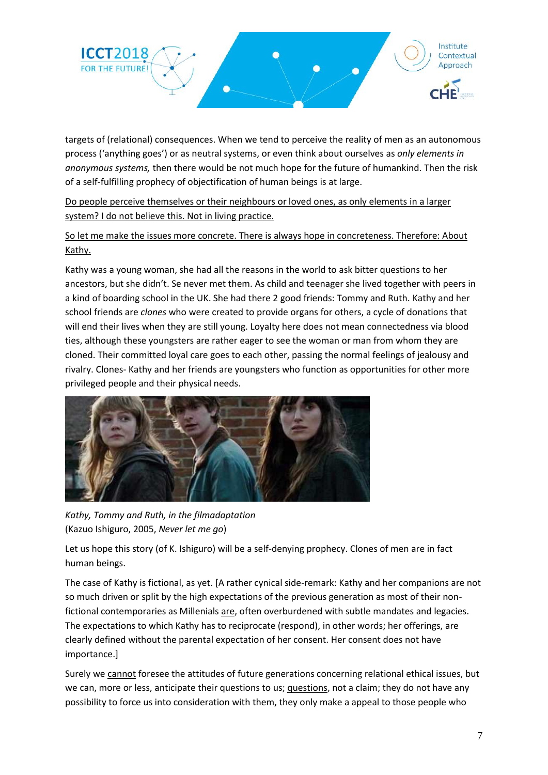

targets of (relational) consequences. When we tend to perceive the reality of men as an autonomous process ('anything goes') or as neutral systems, or even think about ourselves as *only elements in anonymous systems,* then there would be not much hope for the future of humankind. Then the risk of a self-fulfilling prophecy of objectification of human beings is at large.

Do people perceive themselves or their neighbours or loved ones, as only elements in a larger system? I do not believe this. Not in living practice.

So let me make the issues more concrete. There is always hope in concreteness. Therefore: About Kathy.

Kathy was a young woman, she had all the reasons in the world to ask bitter questions to her ancestors, but she didn't. Se never met them. As child and teenager she lived together with peers in a kind of boarding school in the UK. She had there 2 good friends: Tommy and Ruth. Kathy and her school friends are *clones* who were created to provide organs for others, a cycle of donations that will end their lives when they are still young. Loyalty here does not mean connectedness via blood ties, although these youngsters are rather eager to see the woman or man from whom they are cloned. Their committed loyal care goes to each other, passing the normal feelings of jealousy and rivalry. Clones- Kathy and her friends are youngsters who function as opportunities for other more privileged people and their physical needs.



*Kathy, Tommy and Ruth, in the filmadaptation* (Kazuo Ishiguro, 2005, *Never let me go*)

Let us hope this story (of K. Ishiguro) will be a self-denying prophecy. Clones of men are in fact human beings.

The case of Kathy is fictional, as yet. [A rather cynical side-remark: Kathy and her companions are not so much driven or split by the high expectations of the previous generation as most of their nonfictional contemporaries as Millenials are, often overburdened with subtle mandates and legacies. The expectations to which Kathy has to reciprocate (respond), in other words; her offerings, are clearly defined without the parental expectation of her consent. Her consent does not have importance.]

Surely we cannot foresee the attitudes of future generations concerning relational ethical issues, but we can, more or less, anticipate their questions to us; questions, not a claim; they do not have any possibility to force us into consideration with them, they only make a appeal to those people who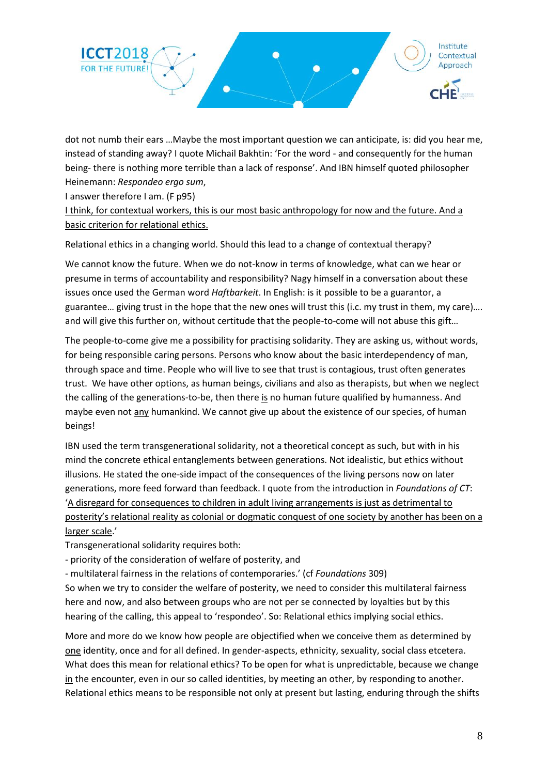

dot not numb their ears …Maybe the most important question we can anticipate, is: did you hear me, instead of standing away? I quote Michail Bakhtin: 'For the word - and consequently for the human being- there is nothing more terrible than a lack of response'. And IBN himself quoted philosopher Heinemann: *Respondeo ergo sum*,

I answer therefore I am. (F p95)

I think, for contextual workers, this is our most basic anthropology for now and the future. And a basic criterion for relational ethics.

Relational ethics in a changing world. Should this lead to a change of contextual therapy?

We cannot know the future. When we do not-know in terms of knowledge, what can we hear or presume in terms of accountability and responsibility? Nagy himself in a conversation about these issues once used the German word *Haftbarkeit*. In English: is it possible to be a guarantor, a guarantee… giving trust in the hope that the new ones will trust this (i.c. my trust in them, my care)…. and will give this further on, without certitude that the people-to-come will not abuse this gift…

The people-to-come give me a possibility for practising solidarity. They are asking us, without words, for being responsible caring persons. Persons who know about the basic interdependency of man, through space and time. People who will live to see that trust is contagious, trust often generates trust. We have other options, as human beings, civilians and also as therapists, but when we neglect the calling of the generations-to-be, then there is no human future qualified by humanness. And maybe even not any humankind. We cannot give up about the existence of our species, of human beings!

IBN used the term transgenerational solidarity, not a theoretical concept as such, but with in his mind the concrete ethical entanglements between generations. Not idealistic, but ethics without illusions. He stated the one-side impact of the consequences of the living persons now on later generations, more feed forward than feedback. I quote from the introduction in *Foundations of CT*: 'A disregard for consequences to children in adult living arrangements is just as detrimental to posterity's relational reality as colonial or dogmatic conquest of one society by another has been on a larger scale.'

Transgenerational solidarity requires both:

- priority of the consideration of welfare of posterity, and

- multilateral fairness in the relations of contemporaries.' (cf *Foundations* 309)

So when we try to consider the welfare of posterity, we need to consider this multilateral fairness here and now, and also between groups who are not per se connected by loyalties but by this hearing of the calling, this appeal to 'respondeo'. So: Relational ethics implying social ethics.

More and more do we know how people are objectified when we conceive them as determined by one identity, once and for all defined. In gender-aspects, ethnicity, sexuality, social class etcetera. What does this mean for relational ethics? To be open for what is unpredictable, because we change in the encounter, even in our so called identities, by meeting an other, by responding to another. Relational ethics means to be responsible not only at present but lasting, enduring through the shifts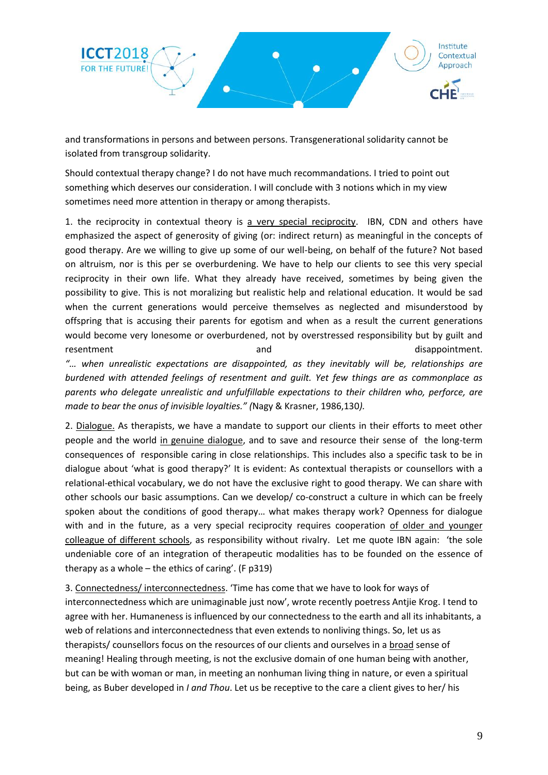

and transformations in persons and between persons. Transgenerational solidarity cannot be isolated from transgroup solidarity.

Should contextual therapy change? I do not have much recommandations. I tried to point out something which deserves our consideration. I will conclude with 3 notions which in my view sometimes need more attention in therapy or among therapists.

1. the reciprocity in contextual theory is a very special reciprocity. IBN, CDN and others have emphasized the aspect of generosity of giving (or: indirect return) as meaningful in the concepts of good therapy. Are we willing to give up some of our well-being, on behalf of the future? Not based on altruism, nor is this per se overburdening. We have to help our clients to see this very special reciprocity in their own life. What they already have received, sometimes by being given the possibility to give. This is not moralizing but realistic help and relational education. It would be sad when the current generations would perceive themselves as neglected and misunderstood by offspring that is accusing their parents for egotism and when as a result the current generations would become very lonesome or overburdened, not by overstressed responsibility but by guilt and resentment and disappointment.

*"… when unrealistic expectations are disappointed, as they inevitably will be, relationships are burdened with attended feelings of resentment and guilt. Yet few things are as commonplace as parents who delegate unrealistic and unfulfillable expectations to their children who, perforce, are made to bear the onus of invisible loyalties." (*Nagy & Krasner, 1986,130*).*

2. Dialogue. As therapists, we have a mandate to support our clients in their efforts to meet other people and the world in genuine dialogue, and to save and resource their sense of the long-term consequences of responsible caring in close relationships. This includes also a specific task to be in dialogue about 'what is good therapy?' It is evident: As contextual therapists or counsellors with a relational-ethical vocabulary, we do not have the exclusive right to good therapy. We can share with other schools our basic assumptions. Can we develop/ co-construct a culture in which can be freely spoken about the conditions of good therapy… what makes therapy work? Openness for dialogue with and in the future, as a very special reciprocity requires cooperation of older and younger colleague of different schools, as responsibility without rivalry. Let me quote IBN again: 'the sole undeniable core of an integration of therapeutic modalities has to be founded on the essence of therapy as a whole – the ethics of caring'. (F p319)

3. Connectedness/ interconnectedness. 'Time has come that we have to look for ways of interconnectedness which are unimaginable just now', wrote recently poetress Antjie Krog. I tend to agree with her. Humaneness is influenced by our connectedness to the earth and all its inhabitants, a web of relations and interconnectedness that even extends to nonliving things. So, let us as therapists/ counsellors focus on the resources of our clients and ourselves in a broad sense of meaning! Healing through meeting, is not the exclusive domain of one human being with another, but can be with woman or man, in meeting an nonhuman living thing in nature, or even a spiritual being, as Buber developed in *I and Thou*. Let us be receptive to the care a client gives to her/ his